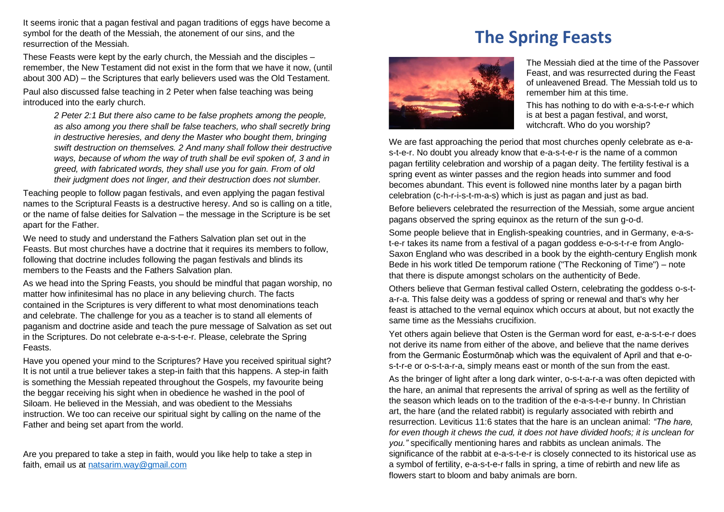It seems ironic that a pagan festival and pagan traditions of eggs have become a symbol for the death of the Messiah, the atonement of our sins, and the resurrection of the Messiah.

remember, the New Testament did not exist in the form that we have it now, (until These Feasts were kept by the early church, the Messiah and the disciples – about 300 AD) – the Scriptures that early believers used was the Old Testament. Paul also discussed false teaching in 2 Peter when false teaching was being introduced into the early church.

> *2 Peter 2:1 But there also came to be false prophets among the people, as also among you there shall be false teachers, who shall secretly bring in destructive heresies, and deny the Master who bought them, bringing swift destruction on themselves. 2 And many shall follow their destructive ways, because of whom the way of truth shall be evil spoken of, 3 and in greed, with fabricated words, they shall use you for gain. From of old their judgment does not linger, and their destruction does not slumber.*

Teaching people to follow pagan festivals, and even applying the pagan festival names to the Scriptural Feasts is a destructive heresy. And so is calling on a title, or the name of false deities for Salvation – the message in the Scripture is be set apart for the Father.

We need to study and understand the Fathers Salvation plan set out in the Feasts. But most churches have a doctrine that it requires its members to follow, following that doctrine includes following the pagan festivals and blinds its members to the Feasts and the Fathers Salvation plan.

As we head into the Spring Feasts, you should be mindful that pagan worship, no matter how infinitesimal has no place in any believing church. The facts contained in the Scriptures is very different to what most denominations teach and celebrate. The challenge for you as a teacher is to stand all elements of paganism and doctrine aside and teach the pure message of Salvation as set out in the Scriptures. Do not celebrate e-a-s-t-e-r. Please, celebrate the Spring Feasts.

Have you opened your mind to the Scriptures? Have you received spiritual sight? It is not until a true believer takes a step-in faith that this happens. A step-in faith is something the Messiah repeated throughout the Gospels, my favourite being the beggar receiving his sight when in obedience he washed in the pool of Siloam. He believed in the Messiah, and was obedient to the Messiahs instruction. We too can receive our spiritual sight by calling on the name of the Father and being set apart from the world.

Are you prepared to take a step in faith, would you like help to take a step in faith, email us at [natsarim.way@gmail.com](mailto:natsarim.way@gmail.com)

## **The Spring Feasts**



The Messiah died at the time of the Passover Feast, and was resurrected during the Feast of unleavened Bread. The Messiah told us to remember him at this time.

This has nothing to do with e-a-s-t-e-r which is at best a pagan festival, and worst, witchcraft. Who do you worship?

We are fast approaching the period that most churches openly celebrate as e-as-t-e-r. No doubt you already know that e-a-s-t-e-r is the name of a common pagan fertility celebration and worship of a pagan deity. The fertility festival is a spring event as winter passes and the region heads into summer and food becomes abundant. This event is followed nine months later by a pagan birth celebration (c-h-r-i-s-t-m-a-s) which is just as pagan and just as bad.

Before believers celebrated the resurrection of the Messiah, some argue ancient pagans observed the spring equinox as the return of the sun g-o-d.

Some people believe that in English-speaking countries, and in Germany, e-a-st-e-r takes its name from a festival of a pagan goddess e-o-s-t-r-e from Anglo-Saxon England who was described in a book by the eighth-century English monk Bede in his work titled De temporum ratione ("The Reckoning of Time") – note that there is dispute amongst scholars on the authenticity of Bede.

Others believe that German festival called Ostern, celebrating the goddess o-s-ta-r-a. This false deity was a goddess of spring or renewal and that's why her feast is attached to the vernal equinox which occurs at about, but not exactly the same time as the Messiahs crucifixion.

Yet others again believe that Osten is the German word for east, e-a-s-t-e-r does not derive its name from either of the above, and believe that the name derives from the Germanic Ēosturmōnaþ which was the equivalent of April and that e-os-t-r-e or o-s-t-a-r-a, simply means east or month of the sun from the east.

As the bringer of light after a long dark winter, o-s-t-a-r-a was often depicted with the hare, an animal that represents the arrival of spring as well as the fertility of the season which leads on to the tradition of the e-a-s-t-e-r bunny. In Christian art, the hare (and the related rabbit) is regularly associated with rebirth and resurrection. Leviticus 11:6 states that the hare is an unclean animal: *"The hare, for even though it chews the cud, it does not have divided hoofs; it is unclean for you."* specifically mentioning hares and rabbits as unclean animals. The significance of the rabbit at e-a-s-t-e-r is closely connected to its historical use as a symbol of fertility, e-a-s-t-e-r falls in spring, a time of rebirth and new life as flowers start to bloom and baby animals are born.